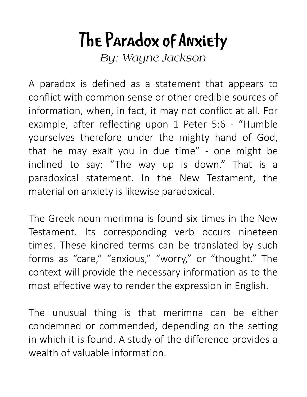## **The Paradox of Anxiety**

*By: Wayne Jackson*

A paradox is defined as a statement that appears to conflict with common sense or other credible sources of information, when, in fact, it may not conflict at all. For example, after reflecting upon 1 Peter 5:6 - "Humble yourselves therefore under the mighty hand of God, that he may exalt you in due time" - one might be inclined to say: "The way up is down." That is a paradoxical statement. In the New Testament, the material on anxiety is likewise paradoxical.

The Greek noun merimna is found six times in the New Testament. Its corresponding verb occurs nineteen times. These kindred terms can be translated by such forms as "care," "anxious," "worry," or "thought." The context will provide the necessary information as to the most effective way to render the expression in English.

The unusual thing is that merimna can be either condemned or commended, depending on the setting in which it is found. A study of the difference provides a wealth of valuable information.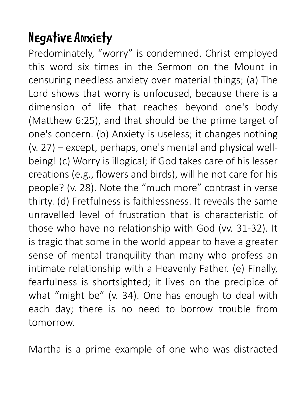## **Negative Anxiety**

Predominately, "worry" is condemned. Christ employed this word six times in the Sermon on the Mount in censuring needless anxiety over material things; (a) The Lord shows that worry is unfocused, because there is a dimension of life that reaches beyond one's body (Matthew 6:25), and that should be the prime target of one's concern. (b) Anxiety is useless; it changes nothing (v. 27) – except, perhaps, one's mental and physical wellbeing! (c) Worry is illogical; if God takes care of his lesser creations (e.g., flowers and birds), will he not care for his people? (v. 28). Note the "much more" contrast in verse thirty. (d) Fretfulness is faithlessness. It reveals the same unravelled level of frustration that is characteristic of those who have no relationship with God (vv. 31-32). It is tragic that some in the world appear to have a greater sense of mental tranquility than many who profess an intimate relationship with a Heavenly Father. (e) Finally, fearfulness is shortsighted; it lives on the precipice of what "might be" (v. 34). One has enough to deal with each day; there is no need to borrow trouble from tomorrow.

Martha is a prime example of one who was distracted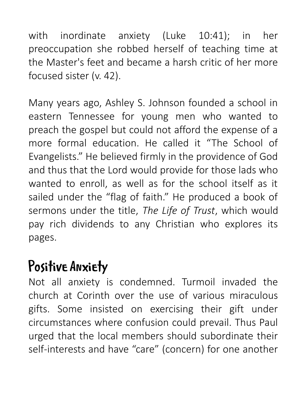with inordinate anxiety (Luke 10:41); in her preoccupation she robbed herself of teaching time at the Master's feet and became a harsh critic of her more focused sister (v. 42).

Many years ago, Ashley S. Johnson founded a school in eastern Tennessee for young men who wanted to preach the gospel but could not afford the expense of a more formal education. He called it "The School of Evangelists." He believed firmly in the providence of God and thus that the Lord would provide for those lads who wanted to enroll, as well as for the school itself as it sailed under the "flag of faith." He produced a book of sermons under the title, *The Life of Trust*, which would pay rich dividends to any Christian who explores its pages.

## **Positive Anxiety**

Not all anxiety is condemned. Turmoil invaded the church at Corinth over the use of various miraculous gifts. Some insisted on exercising their gift under circumstances where confusion could prevail. Thus Paul urged that the local members should subordinate their self-interests and have "care" (concern) for one another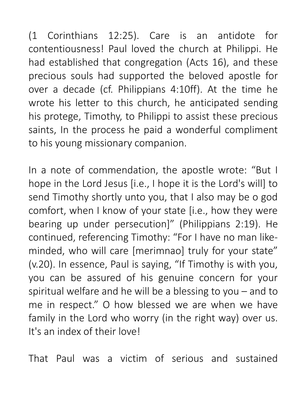(1 Corinthians 12:25). Care is an antidote for contentiousness! Paul loved the church at Philippi. He had established that congregation (Acts 16), and these precious souls had supported the beloved apostle for over a decade (cf. Philippians 4:10ff). At the time he wrote his letter to this church, he anticipated sending his protege, Timothy, to Philippi to assist these precious saints, In the process he paid a wonderful compliment to his young missionary companion.

In a note of commendation, the apostle wrote: "But I hope in the Lord Jesus [i.e., I hope it is the Lord's will] to send Timothy shortly unto you, that I also may be o god comfort, when I know of your state [i.e., how they were bearing up under persecution]" (Philippians 2:19). He continued, referencing Timothy: "For I have no man likeminded, who will care [merimnao] truly for your state" (v.20). In essence, Paul is saying, "If Timothy is with you, you can be assured of his genuine concern for your spiritual welfare and he will be a blessing to you – and to me in respect." O how blessed we are when we have family in the Lord who worry (in the right way) over us. It's an index of their love!

That Paul was a victim of serious and sustained